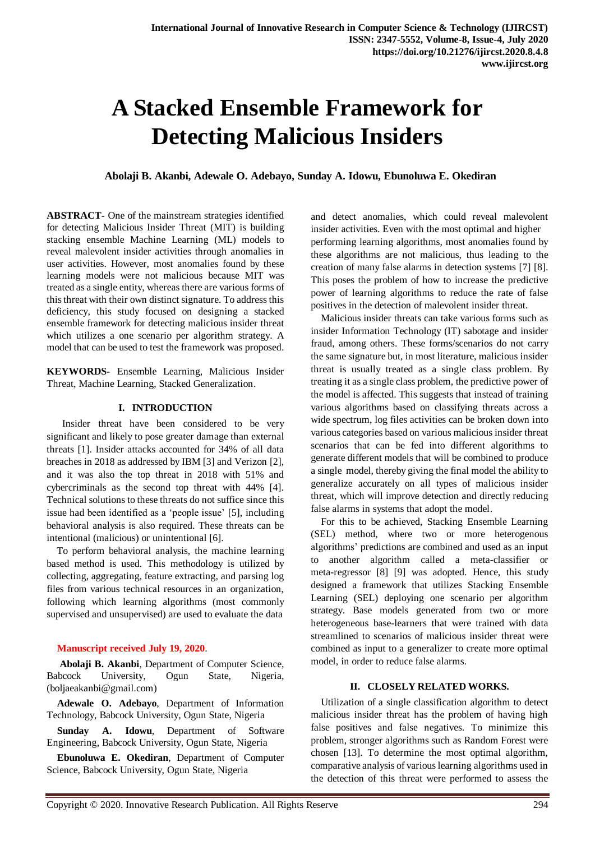# **A Stacked Ensemble Framework for Detecting Malicious Insiders**

**Abolaji B. Akanbi, Adewale O. Adebayo, Sunday A. Idowu, Ebunoluwa E. Okediran**

**ABSTRACT-** One of the mainstream strategies identified for detecting Malicious Insider Threat (MIT) is building stacking ensemble Machine Learning (ML) models to reveal malevolent insider activities through anomalies in user activities. However, most anomalies found by these learning models were not malicious because MIT was treated as a single entity, whereas there are various forms of this threat with their own distinct signature. To address this deficiency, this study focused on designing a stacked ensemble framework for detecting malicious insider threat which utilizes a one scenario per algorithm strategy. A model that can be used to test the framework was proposed.

**KEYWORDS-** Ensemble Learning, Malicious Insider Threat, Machine Learning, Stacked Generalization.

#### **I. INTRODUCTION**

 Insider threat have been considered to be very significant and likely to pose greater damage than external threats [1]. Insider attacks accounted for 34% of all data breaches in 2018 as addressed by IBM [3] and Verizon [2], and it was also the top threat in 2018 with 51% and cybercriminals as the second top threat with 44% [4]. Technical solutions to these threats do not suffice since this issue had been identified as a 'people issue' [5], including behavioral analysis is also required. These threats can be intentional (malicious) or unintentional [6].

To perform behavioral analysis, the machine learning based method is used. This methodology is utilized by collecting, aggregating, feature extracting, and parsing log files from various technical resources in an organization, following which learning algorithms (most commonly supervised and unsupervised) are used to evaluate the data

## **Manuscript received July 19, 2020**.

**Abolaji B. Akanbi**, Department of Computer Science, Babcock University, Ogun State, Nigeria, (boljaeakanbi@gmail.com)

**Adewale O. Adebayo**, Department of Information Technology, Babcock University, Ogun State, Nigeria

**Sunday A. Idowu**, Department of Software Engineering, Babcock University, Ogun State, Nigeria

**Ebunoluwa E. Okediran**, Department of Computer Science, Babcock University, Ogun State, Nigeria

and detect anomalies, which could reveal malevolent insider activities. Even with the most optimal and higher performing learning algorithms, most anomalies found by these algorithms are not malicious, thus leading to the creation of many false alarms in detection systems [7] [8]. This poses the problem of how to increase the predictive power of learning algorithms to reduce the rate of false positives in the detection of malevolent insider threat.

Malicious insider threats can take various forms such as insider Information Technology (IT) sabotage and insider fraud, among others. These forms/scenarios do not carry the same signature but, in most literature, malicious insider threat is usually treated as a single class problem. By treating it as a single class problem, the predictive power of the model is affected. This suggests that instead of training various algorithms based on classifying threats across a wide spectrum, log files activities can be broken down into various categories based on various malicious insider threat scenarios that can be fed into different algorithms to generate different models that will be combined to produce a single model, thereby giving the final model the ability to generalize accurately on all types of malicious insider threat, which will improve detection and directly reducing false alarms in systems that adopt the model.

For this to be achieved, Stacking Ensemble Learning (SEL) method, where two or more heterogenous algorithms' predictions are combined and used as an input to another algorithm called a meta-classifier or meta-regressor [8] [9] was adopted. Hence, this study designed a framework that utilizes Stacking Ensemble Learning (SEL) deploying one scenario per algorithm strategy. Base models generated from two or more heterogeneous base-learners that were trained with data streamlined to scenarios of malicious insider threat were combined as input to a generalizer to create more optimal model, in order to reduce false alarms.

## **II. CLOSELY RELATED WORKS.**

Utilization of a single classification algorithm to detect malicious insider threat has the problem of having high false positives and false negatives. To minimize this problem, stronger algorithms such as Random Forest were chosen [13]. To determine the most optimal algorithm, comparative analysis of various learning algorithms used in the detection of this threat were performed to assess the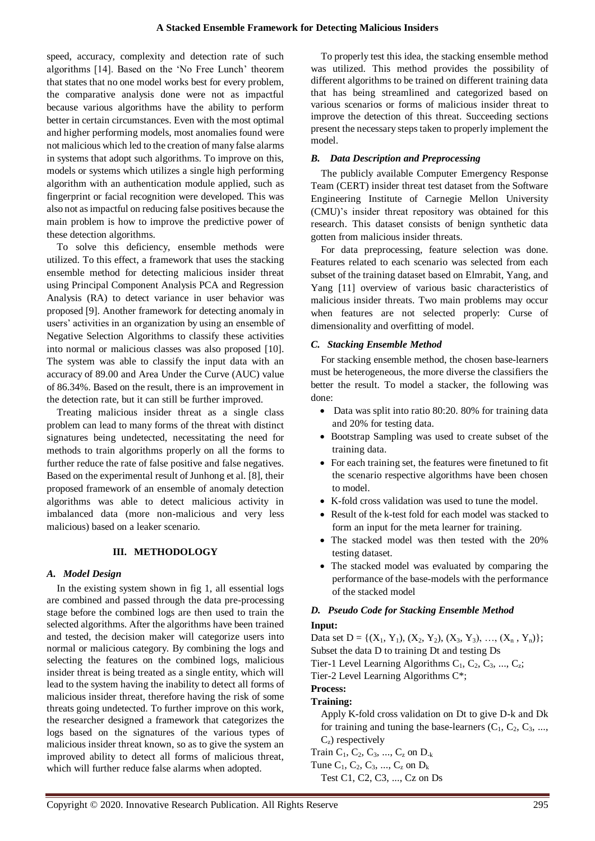speed, accuracy, complexity and detection rate of such algorithms [14]. Based on the 'No Free Lunch' theorem that states that no one model works best for every problem, the comparative analysis done were not as impactful because various algorithms have the ability to perform better in certain circumstances. Even with the most optimal and higher performing models, most anomalies found were not malicious which led to the creation of many false alarms in systems that adopt such algorithms. To improve on this, models or systems which utilizes a single high performing algorithm with an authentication module applied, such as fingerprint or facial recognition were developed. This was also not as impactful on reducing false positives because the main problem is how to improve the predictive power of these detection algorithms.

To solve this deficiency, ensemble methods were utilized. To this effect, a framework that uses the stacking ensemble method for detecting malicious insider threat using Principal Component Analysis PCA and Regression Analysis (RA) to detect variance in user behavior was proposed [9]. Another framework for detecting anomaly in users' activities in an organization by using an ensemble of Negative Selection Algorithms to classify these activities into normal or malicious classes was also proposed [10]. The system was able to classify the input data with an accuracy of 89.00 and Area Under the Curve (AUC) value of 86.34%. Based on the result, there is an improvement in the detection rate, but it can still be further improved.

Treating malicious insider threat as a single class problem can lead to many forms of the threat with distinct signatures being undetected, necessitating the need for methods to train algorithms properly on all the forms to further reduce the rate of false positive and false negatives. Based on the experimental result of Junhong et al. [8], their proposed framework of an ensemble of anomaly detection algorithms was able to detect malicious activity in imbalanced data (more non-malicious and very less malicious) based on a leaker scenario.

#### **III. METHODOLOGY**

#### *A. Model Design*

In the existing system shown in fig 1, all essential logs are combined and passed through the data pre-processing stage before the combined logs are then used to train the selected algorithms. After the algorithms have been trained and tested, the decision maker will categorize users into normal or malicious category. By combining the logs and selecting the features on the combined logs, malicious insider threat is being treated as a single entity, which will lead to the system having the inability to detect all forms of malicious insider threat, therefore having the risk of some threats going undetected. To further improve on this work, the researcher designed a framework that categorizes the logs based on the signatures of the various types of malicious insider threat known, so as to give the system an improved ability to detect all forms of malicious threat, which will further reduce false alarms when adopted.

To properly test this idea, the stacking ensemble method was utilized. This method provides the possibility of different algorithms to be trained on different training data that has being streamlined and categorized based on various scenarios or forms of malicious insider threat to improve the detection of this threat. Succeeding sections present the necessary steps taken to properly implement the model.

## *B. Data Description and Preprocessing*

The publicly available Computer Emergency Response Team (CERT) insider threat test dataset from the Software Engineering Institute of Carnegie Mellon University (CMU)'s insider threat repository was obtained for this research. This dataset consists of benign synthetic data gotten from malicious insider threats.

For data preprocessing, feature selection was done. Features related to each scenario was selected from each subset of the training dataset based on Elmrabit, Yang, and Yang [11] overview of various basic characteristics of malicious insider threats. Two main problems may occur when features are not selected properly: Curse of dimensionality and overfitting of model.

## *C. Stacking Ensemble Method*

For stacking ensemble method, the chosen base-learners must be heterogeneous, the more diverse the classifiers the better the result. To model a stacker, the following was done:

- Data was split into ratio 80:20. 80% for training data and 20% for testing data.
- Bootstrap Sampling was used to create subset of the training data.
- For each training set, the features were finetuned to fit the scenario respective algorithms have been chosen to model.
- K-fold cross validation was used to tune the model.
- Result of the k-test fold for each model was stacked to form an input for the meta learner for training.
- The stacked model was then tested with the 20% testing dataset.
- The stacked model was evaluated by comparing the performance of the base-models with the performance of the stacked model

## *D. Pseudo Code for Stacking Ensemble Method*

#### **Input:**

Data set D = { $(X_1, Y_1)$ ,  $(X_2, Y_2)$ ,  $(X_3, Y_3)$ , ...,  $(X_n, Y_n)$ }; Subset the data D to training Dt and testing Ds Tier-1 Level Learning Algorithms  $C_1, C_2, C_3, ..., C_z$ ; Tier-2 Level Learning Algorithms C\*; **Process:** 

## **Training:**

Apply K-fold cross validation on Dt to give D-k and Dk for training and tuning the base-learners  $(C_1, C_2, C_3, \ldots,$  $C<sub>z</sub>$ ) respectively

- Train  $C_1, C_2, C_3, ..., C_z$  on  $D_{-k}$
- Tune  $C_1, C_2, C_3, ..., C_z$  on  $D_k$
- Test C1, C2, C3, ..., Cz on Ds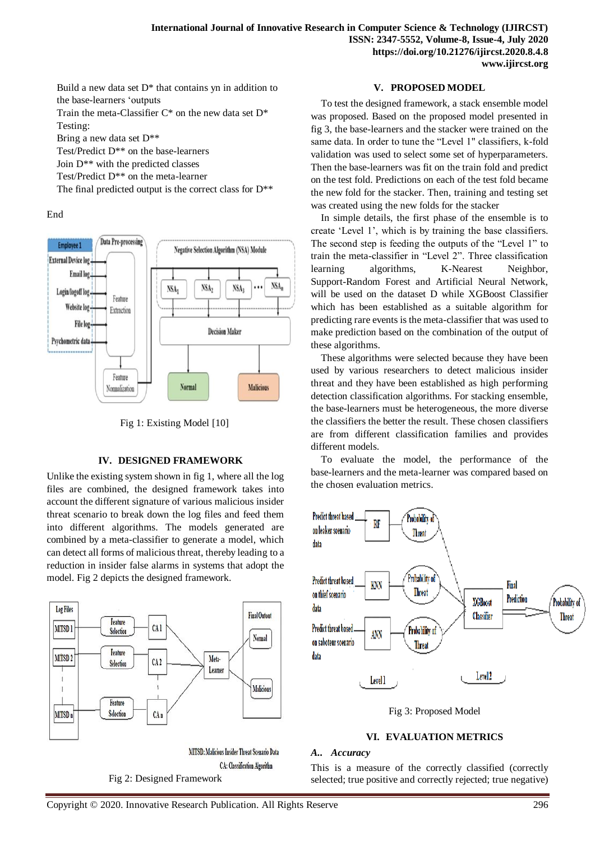Build a new data set  $D^*$  that contains yn in addition to the base-learners 'outputs

Train the meta-Classifier  $C^*$  on the new data set  $D^*$ Testing:

Bring a new data set D\*\*

Test/Predict D\*\* on the base-learners

Join D\*\* with the predicted classes

Test/Predict D\*\* on the meta-learner

The final predicted output is the correct class for  $D^{**}$ 

End



Fig 1: Existing Model [10]

#### **IV. DESIGNED FRAMEWORK**

Unlike the existing system shown in fig 1, where all the log files are combined, the designed framework takes into account the different signature of various malicious insider threat scenario to break down the log files and feed them into different algorithms. The models generated are combined by a meta-classifier to generate a model, which can detect all forms of malicious threat, thereby leading to a reduction in insider false alarms in systems that adopt the model. Fig 2 depicts the designed framework.



CA: Classification Algorithm

Fig 2: Designed Framework

## **V. PROPOSED MODEL**

To test the designed framework, a stack ensemble model was proposed. Based on the proposed model presented in fig 3, the base-learners and the stacker were trained on the same data. In order to tune the "Level 1" classifiers, k-fold validation was used to select some set of hyperparameters. Then the base-learners was fit on the train fold and predict on the test fold. Predictions on each of the test fold became the new fold for the stacker. Then, training and testing set was created using the new folds for the stacker

In simple details, the first phase of the ensemble is to create 'Level 1', which is by training the base classifiers. The second step is feeding the outputs of the "Level 1" to train the meta-classifier in "Level 2". Three classification learning algorithms, K-Nearest Neighbor, Support-Random Forest and Artificial Neural Network, will be used on the dataset D while XGBoost Classifier which has been established as a suitable algorithm for predicting rare events is the meta-classifier that was used to make prediction based on the combination of the output of these algorithms.

These algorithms were selected because they have been used by various researchers to detect malicious insider threat and they have been established as high performing detection classification algorithms. For stacking ensemble, the base-learners must be heterogeneous, the more diverse the classifiers the better the result. These chosen classifiers are from different classification families and provides different models.

To evaluate the model, the performance of the base-learners and the meta-learner was compared based on the chosen evaluation metrics.



Fig 3: Proposed Model

# **VI. EVALUATION METRICS**

#### *A.. Accuracy*

This is a measure of the correctly classified (correctly selected; true positive and correctly rejected; true negative)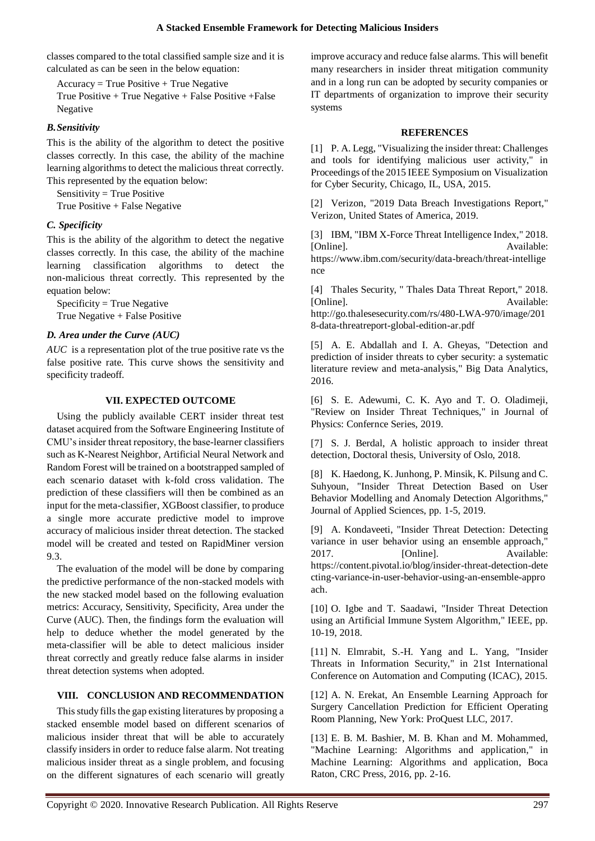classes compared to the total classified sample size and it is calculated as can be seen in the below equation:

 $Accuracy = True Positive + True Negative$ True Positive + True Negative + False Positive +False Negative

# *B.Sensitivity*

This is the ability of the algorithm to detect the positive classes correctly. In this case, the ability of the machine learning algorithms to detect the malicious threat correctly. This represented by the equation below:

Sensitivity = True Positive True Positive + False Negative

# *C. Specificity*

This is the ability of the algorithm to detect the negative classes correctly. In this case, the ability of the machine learning classification algorithms to detect the non-malicious threat correctly. This represented by the equation below:

Specificity = True Negative True Negative + False Positive

# *D. Area under the Curve (AUC)*

*AUC* is a representation plot of the true positive rate vs the false positive rate. This curve shows the sensitivity and specificity tradeoff.

# **VII. EXPECTED OUTCOME**

Using the publicly available CERT insider threat test dataset acquired from the Software Engineering Institute of CMU's insider threat repository, the base-learner classifiers such as K-Nearest Neighbor, Artificial Neural Network and Random Forest will be trained on a bootstrapped sampled of each scenario dataset with k-fold cross validation. The prediction of these classifiers will then be combined as an input for the meta-classifier, XGBoost classifier, to produce a single more accurate predictive model to improve accuracy of malicious insider threat detection. The stacked model will be created and tested on RapidMiner version 9.3.

The evaluation of the model will be done by comparing the predictive performance of the non-stacked models with the new stacked model based on the following evaluation metrics: Accuracy, Sensitivity, Specificity, Area under the Curve (AUC). Then, the findings form the evaluation will help to deduce whether the model generated by the meta-classifier will be able to detect malicious insider threat correctly and greatly reduce false alarms in insider threat detection systems when adopted.

## **VIII. CONCLUSION AND RECOMMENDATION**

This study fills the gap existing literatures by proposing a stacked ensemble model based on different scenarios of malicious insider threat that will be able to accurately classify insiders in order to reduce false alarm. Not treating malicious insider threat as a single problem, and focusing on the different signatures of each scenario will greatly improve accuracy and reduce false alarms. This will benefit many researchers in insider threat mitigation community and in a long run can be adopted by security companies or IT departments of organization to improve their security systems

# **REFERENCES**

[1] P. A. Legg, "Visualizing the insider threat: Challenges and tools for identifying malicious user activity," in Proceedings of the 2015 IEEE Symposium on Visualization for Cyber Security, Chicago, IL, USA, 2015.

[2] Verizon, "2019 Data Breach Investigations Report," Verizon, United States of America, 2019.

[3] IBM, "IBM X-Force Threat Intelligence Index," 2018. [Online]. Available: https://www.ibm.com/security/data-breach/threat-intellige nce

[4] Thales Security, " Thales Data Threat Report," 2018. [Online]. Available: http://go.thalesesecurity.com/rs/480-LWA-970/image/201 8-data-threatreport-global-edition-ar.pdf

[5] A. E. Abdallah and I. A. Gheyas, "Detection and prediction of insider threats to cyber security: a systematic literature review and meta-analysis," Big Data Analytics, 2016.

[6] S. E. Adewumi, C. K. Ayo and T. O. Oladimeji, "Review on Insider Threat Techniques," in Journal of Physics: Confernce Series, 2019.

[7] S. J. Berdal, A holistic approach to insider threat detection, Doctoral thesis, University of Oslo, 2018.

[8] K. Haedong, K. Junhong, P. Minsik, K. Pilsung and C. Suhyoun, "Insider Threat Detection Based on User Behavior Modelling and Anomaly Detection Algorithms," Journal of Applied Sciences, pp. 1-5, 2019.

[9] A. Kondaveeti, "Insider Threat Detection: Detecting variance in user behavior using an ensemble approach," 2017. [Online]. Available: https://content.pivotal.io/blog/insider-threat-detection-dete cting-variance-in-user-behavior-using-an-ensemble-appro ach.

[10] O. Igbe and T. Saadawi, "Insider Threat Detection using an Artificial Immune System Algorithm," IEEE, pp. 10-19, 2018.

[11] N. Elmrabit, S.-H. Yang and L. Yang, "Insider Threats in Information Security," in 21st International Conference on Automation and Computing (ICAC), 2015.

[12] A. N. Erekat, An Ensemble Learning Approach for Surgery Cancellation Prediction for Efficient Operating Room Planning, New York: ProQuest LLC, 2017.

[13] E. B. M. Bashier, M. B. Khan and M. Mohammed, "Machine Learning: Algorithms and application," in Machine Learning: Algorithms and application, Boca Raton, CRC Press, 2016, pp. 2-16.